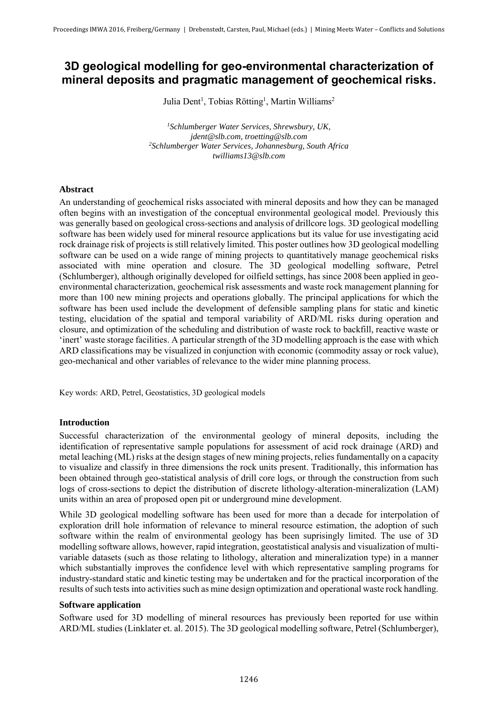# **3D geological modelling for geo-environmental characterization of mineral deposits and pragmatic management of geochemical risks.**

Julia Dent<sup>1</sup>, Tobias Rötting<sup>1</sup>, Martin Williams<sup>2</sup>

*<sup>1</sup>Schlumberger Water Services, Shrewsbury, UK, jdent@slb.com, troetting@slb.com <sup>2</sup>Schlumberger Water Services, Johannesburg, South Africa twilliams13@slb.com* 

#### **Abstract**

An understanding of geochemical risks associated with mineral deposits and how they can be managed often begins with an investigation of the conceptual environmental geological model. Previously this was generally based on geological cross-sections and analysis of drillcore logs. 3D geological modelling software has been widely used for mineral resource applications but its value for use investigating acid rock drainage risk of projects is still relatively limited. This poster outlines how 3D geological modelling software can be used on a wide range of mining projects to quantitatively manage geochemical risks associated with mine operation and closure. The 3D geological modelling software, Petrel (Schlumberger), although originally developed for oilfield settings, has since 2008 been applied in geoenvironmental characterization, geochemical risk assessments and waste rock management planning for more than 100 new mining projects and operations globally. The principal applications for which the software has been used include the development of defensible sampling plans for static and kinetic testing, elucidation of the spatial and temporal variability of ARD/ML risks during operation and closure, and optimization of the scheduling and distribution of waste rock to backfill, reactive waste or 'inert' waste storage facilities. A particular strength of the 3D modelling approach is the ease with which ARD classifications may be visualized in conjunction with economic (commodity assay or rock value), geo-mechanical and other variables of relevance to the wider mine planning process.

Key words: ARD, Petrel, Geostatistics, 3D geological models

### **Introduction**

Successful characterization of the environmental geology of mineral deposits, including the identification of representative sample populations for assessment of acid rock drainage (ARD) and metal leaching (ML) risks at the design stages of new mining projects, relies fundamentally on a capacity to visualize and classify in three dimensions the rock units present. Traditionally, this information has been obtained through geo-statistical analysis of drill core logs, or through the construction from such logs of cross-sections to depict the distribution of discrete lithology-alteration-mineralization (LAM) units within an area of proposed open pit or underground mine development.

While 3D geological modelling software has been used for more than a decade for interpolation of exploration drill hole information of relevance to mineral resource estimation, the adoption of such software within the realm of environmental geology has been suprisingly limited. The use of 3D modelling software allows, however, rapid integration, geostatistical analysis and visualization of multivariable datasets (such as those relating to lithology, alteration and mineralization type) in a manner which substantially improves the confidence level with which representative sampling programs for industry-standard static and kinetic testing may be undertaken and for the practical incorporation of the results of such tests into activities such as mine design optimization and operational waste rock handling.

#### **Software application**

Software used for 3D modelling of mineral resources has previously been reported for use within ARD/ML studies (Linklater et. al. 2015). The 3D geological modelling software, Petrel (Schlumberger),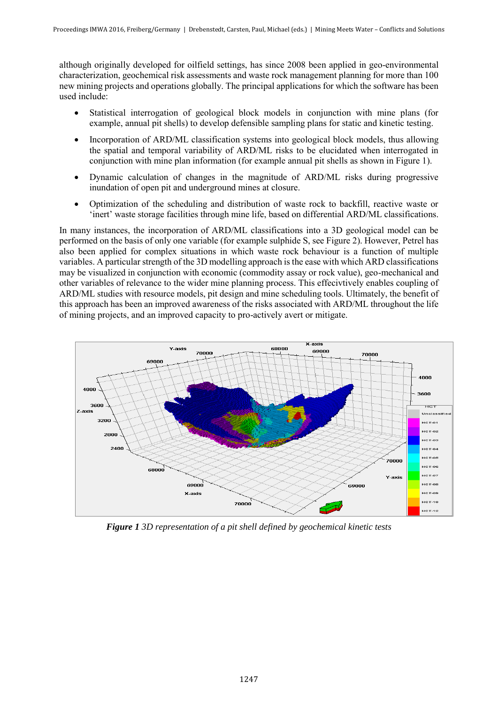although originally developed for oilfield settings, has since 2008 been applied in geo-environmental characterization, geochemical risk assessments and waste rock management planning for more than 100 new mining projects and operations globally. The principal applications for which the software has been used include:

- Statistical interrogation of geological block models in conjunction with mine plans (for example, annual pit shells) to develop defensible sampling plans for static and kinetic testing.
- Incorporation of ARD/ML classification systems into geological block models, thus allowing the spatial and temporal variability of ARD/ML risks to be elucidated when interrogated in conjunction with mine plan information (for example annual pit shells as shown in Figure 1).
- Dynamic calculation of changes in the magnitude of ARD/ML risks during progressive inundation of open pit and underground mines at closure.
- Optimization of the scheduling and distribution of waste rock to backfill, reactive waste or 'inert' waste storage facilities through mine life, based on differential ARD/ML classifications.

In many instances, the incorporation of ARD/ML classifications into a 3D geological model can be performed on the basis of only one variable (for example sulphide S, see Figure 2). However, Petrel has also been applied for complex situations in which waste rock behaviour is a function of multiple variables. A particular strength of the 3D modelling approach is the ease with which ARD classifications may be visualized in conjunction with economic (commodity assay or rock value), geo-mechanical and other variables of relevance to the wider mine planning process. This effecivtively enables coupling of ARD/ML studies with resource models, pit design and mine scheduling tools. Ultimately, the benefit of this approach has been an improved awareness of the risks associated with ARD/ML throughout the life of mining projects, and an improved capacity to pro-actively avert or mitigate.



*Figure 1 3D representation of a pit shell defined by geochemical kinetic tests*